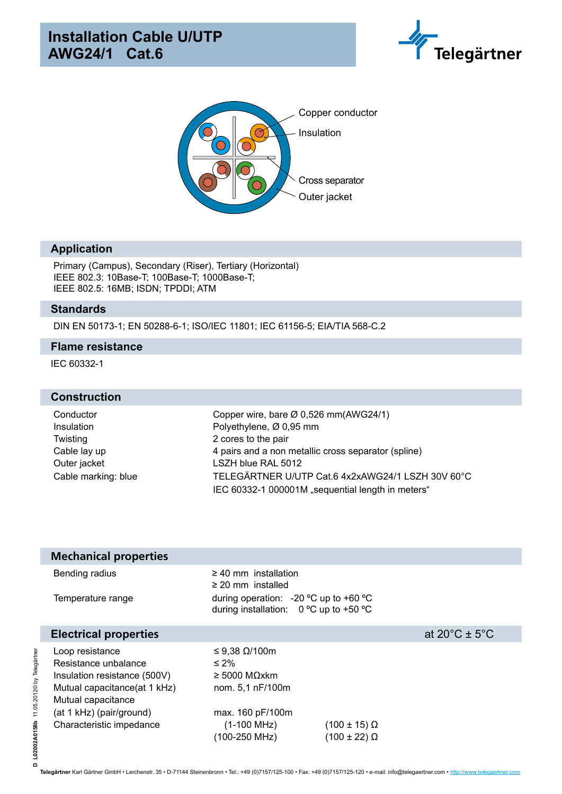



### **Application**

Primary (Campus), Secondary (Riser), Tertiary (Horizontal) IEEE 802.3: 10Base-T; 100Base-T; 1000Base-T; IEEE 802.5: 16MB; ISDN; TPDDI; ATM

#### **Standards**

DIN EN 50173-1; EN 50288-6-1; ISO/IEC 11801; IEC 61156-5; EIA/TIA 568-C.2

#### **Flame resistance**

IEC 60332-1

#### **Construction**

Twisting 2 cores to the pair Outer jacket LSZH blue RAL 5012

Conductor Copper wire, bare Ø 0,526 mm(AWG24/1) Insulation Polyethylene, Ø 0,95 mm Cable lay up 4 pairs and a non metallic cross separator (spline) Cable marking: blue TELEGÄRTNER U/UTP Cat.6 4x2xAWG24/1 LSZH 30V 60°C IEC 60332-1 000001M "sequential length in meters"

| <b>Mechanical properties</b>                                                                                                                                                           |                                                                                                                                       |                                                  |                                    |
|----------------------------------------------------------------------------------------------------------------------------------------------------------------------------------------|---------------------------------------------------------------------------------------------------------------------------------------|--------------------------------------------------|------------------------------------|
| Bending radius<br>Temperature range                                                                                                                                                    | $\geq$ 40 mm installation<br>$\geq$ 20 mm installed<br>during operation: -20 $^{\circ}$ C up to +60 $^{\circ}$ C                      |                                                  |                                    |
|                                                                                                                                                                                        | during installation: $0^{\circ}$ C up to +50 $^{\circ}$ C                                                                             |                                                  |                                    |
| <b>Electrical properties</b>                                                                                                                                                           |                                                                                                                                       |                                                  | at $20^{\circ}$ C ± 5 $^{\circ}$ C |
| Loop resistance<br>Resistance unbalance<br>Insulation resistance (500V)<br>Mutual capacitance (at 1 kHz)<br>Mutual capacitance<br>(at 1 kHz) (pair/ground)<br>Characteristic impedance | ≤ 9,38 $Ω$ /100m<br>$\leq 2\%$<br>$\geq 5000$ MOxkm<br>nom. 5,1 nF/100m<br>max. 160 pF/100m<br>$(1-100 \text{ MHz})$<br>(100-250 MHz) | $(100 \pm 15) \Omega$<br>$(100 \pm 22)$ $\Omega$ |                                    |

**Telegärtner** Karl Gärtner GmbH • Lerchenstr. 35 • D-71144 Steinenbronn • Tel.: +49 (0)7157/125-100 • Fax: +49 (0)7157/125-120 • e-mail: info@telegaertner.com • http://www.telegaertner.com